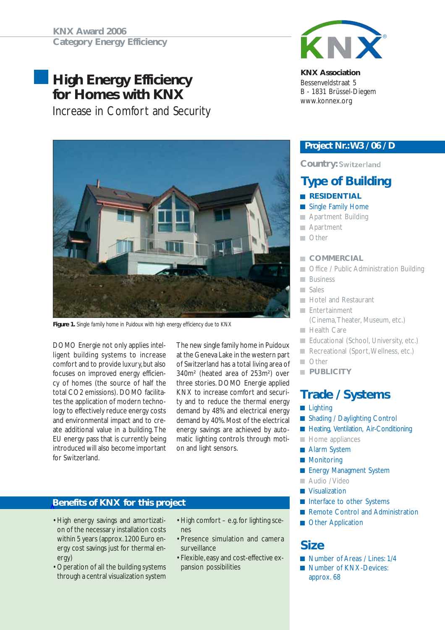# **High Energy Efficiency for Homes with KNX**

Increase in Comfort and Security



*Figure 1. Single family home in Puidoux with high energy efficiency due to KNX*

DOMO Energie not only applies intelligent building systems to increase comfort and to provide luxury, but also focuses on improved energy efficiency of homes (the source of half the total CO2 emissions). DOMO facilitates the application of modern technology to effectively reduce energy costs and environmental impact and to create additional value in a building. The EU energy pass that is currently being introduced will also become important for Switzerland.

The new single family home in Puidoux at the Geneva Lake in the western part of Switzerland has a total living area of 340m² (heated area of 253m²) over three stories. DOMO Energie applied KNX to increase comfort and security and to reduce the thermal energy demand by 48% and electrical energy demand by 40%. Most of the electrical energy savings are achieved by automatic lighting controls through motion and light sensors.

### **Benefits of KNX for this project**

- High energy savings and amortization of the necessary installation costs within 5 years (approx. 1200 Euro energy cost savings just for thermal energy)
- Operation of all the building systems through a central visualization system
- High comfort e.g. for lighting scenes
- Presence simulation and camera surveillance
- Flexible, easy and cost-effective expansion possibilities



#### **KNX Association**

Bessenveldstraat 5 B - 1831 Brüssel-Diegem www.konnex.org

#### *Project Nr.: W3 / 06 / D*

#### **Country: Switzerland**

## **Type of Building**

#### **RESIDENTIAL**

- Single Family Home **The Second**
- **Apartment Building**
- **Apartment**
- **Other**

#### **COMMERCIAL**

- Office / Public Administration Building m.
- **Business**
- Sales
- **Hotel and Restaurant**
- **Entertainment** (Cinema, Theater, Museum, etc.)
- **Health Care**
- Educational (School, University, etc.)
- Recreational (Sport, Wellness, etc.)
- **Other**
- **PUBLICITY**

## **Trade / Systems**

- **Lighting**
- Shading / Daylighting Control
- **Heating, Ventilation, Air-Conditioning**
- $\blacksquare$  Home appliances
- **Alarm System**
- **Monitoring**
- **Energy Managment System**
- Audio / Video
- **Visualization**
- Interface to other Systems
- Remote Control and Administration
- **Other Application**

## **Size**

- Number of Areas / Lines: 1/4
- Number of KNX-Devices: approx. 68